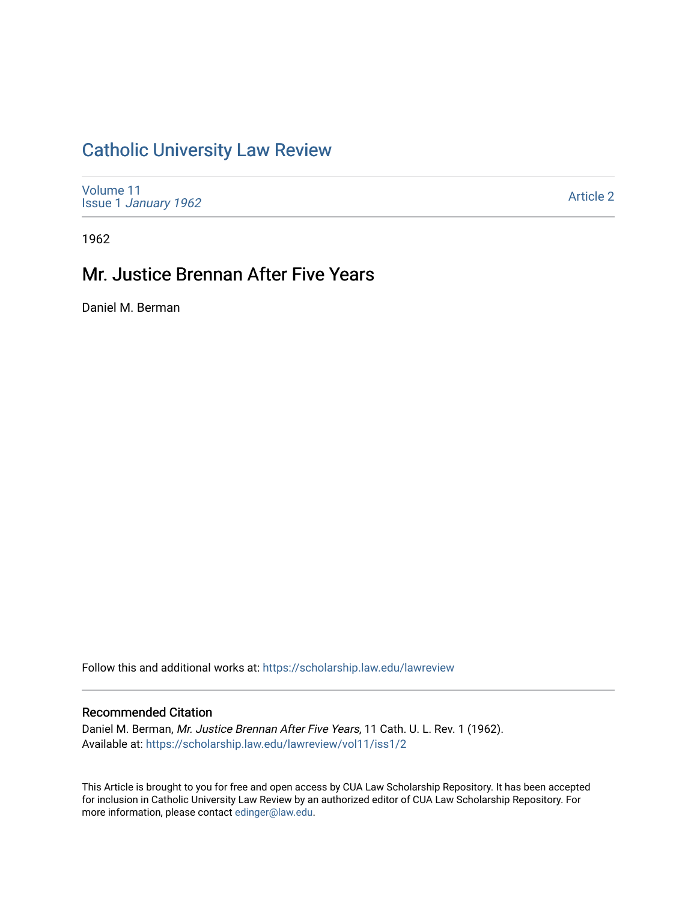# [Catholic University Law Review](https://scholarship.law.edu/lawreview)

[Volume 11](https://scholarship.law.edu/lawreview/vol11) Issue 1 [January 1962](https://scholarship.law.edu/lawreview/vol11/iss1)

[Article 2](https://scholarship.law.edu/lawreview/vol11/iss1/2) 

1962

## Mr. Justice Brennan After Five Years

Daniel M. Berman

Follow this and additional works at: [https://scholarship.law.edu/lawreview](https://scholarship.law.edu/lawreview?utm_source=scholarship.law.edu%2Flawreview%2Fvol11%2Fiss1%2F2&utm_medium=PDF&utm_campaign=PDFCoverPages)

### Recommended Citation

Daniel M. Berman, Mr. Justice Brennan After Five Years, 11 Cath. U. L. Rev. 1 (1962). Available at: [https://scholarship.law.edu/lawreview/vol11/iss1/2](https://scholarship.law.edu/lawreview/vol11/iss1/2?utm_source=scholarship.law.edu%2Flawreview%2Fvol11%2Fiss1%2F2&utm_medium=PDF&utm_campaign=PDFCoverPages)

This Article is brought to you for free and open access by CUA Law Scholarship Repository. It has been accepted for inclusion in Catholic University Law Review by an authorized editor of CUA Law Scholarship Repository. For more information, please contact [edinger@law.edu.](mailto:edinger@law.edu)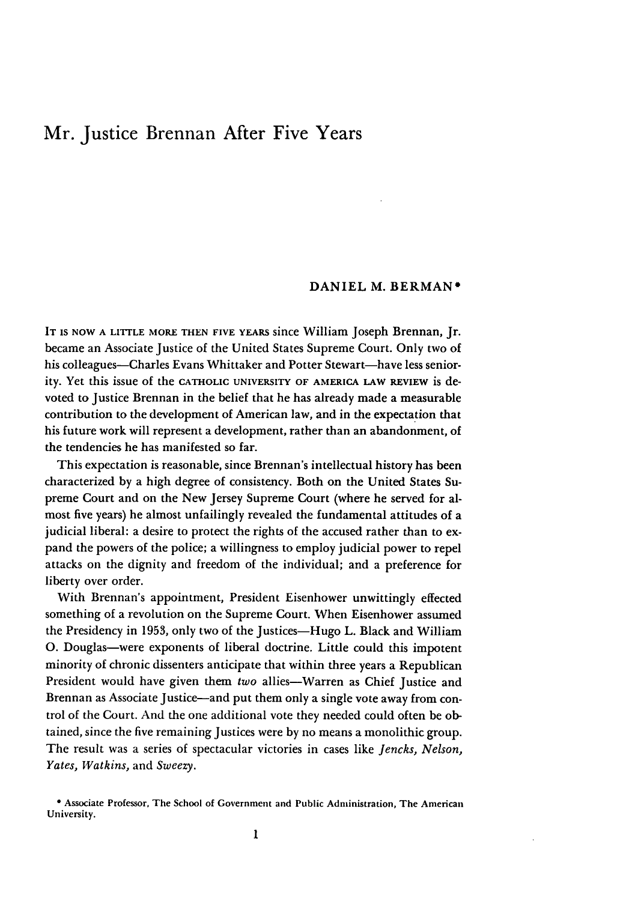### Mr. Justice Brennan After Five Years

#### **DANIEL** M. BERMAN\*

**IT IS NOW A** LITTLE **MORE THEN** FIVE **YEARS** since William Joseph Brennan, Jr. became an Associate Justice of the United States Supreme Court. Only two of his colleagues--Charles Evans Whittaker and Potter Stewart--have less seniority. Yet this issue of the **CATHOLIC UNIVERSITY OF** AMERICA **LAW REVIEW** is devoted to Justice Brennan in the belief that he has already made a measurable contribution to the development of American law, and in the expectation that his future work will represent a development, rather than an abandonment, of the tendencies he has manifested so far.

This expectation is reasonable, since Brennan's intellectual history has been characterized by a high degree of consistency. Both on the United States Supreme Court and on the New Jersey Supreme Court (where he served for almost five years) he almost unfailingly revealed the fundamental attitudes of a judicial liberal: a desire to protect the rights of the accused rather than to expand the powers of the police; a willingness to employ judicial power to repel attacks on the dignity and freedom of the individual; and a preference for liberty over order.

With Brennan's appointment, President Eisenhower unwittingly effected something of a revolution on the Supreme Court. When Eisenhower assumed the Presidency in **1953,** only two of the Justices-Hugo L. Black and William **0.** Douglas-were exponents of liberal doctrine. Little could this impotent minority of chronic dissenters anticipate that within three years a Republican President would have given them *two* allies-Warren as Chief Justice and Brennan as Associate Justice—and put them only a single vote away from control of the Court. And the one additional vote they needed could often be obtained, since the five remaining Justices were by no means a monolithic group. The result was a series of spectacular victories in cases like *Jencks, Nelson, Yates, Watkins,* and *Sweezy.*

**<sup>\*</sup>** Associate Professor, The School of Government and Public Adninistration, The American University.